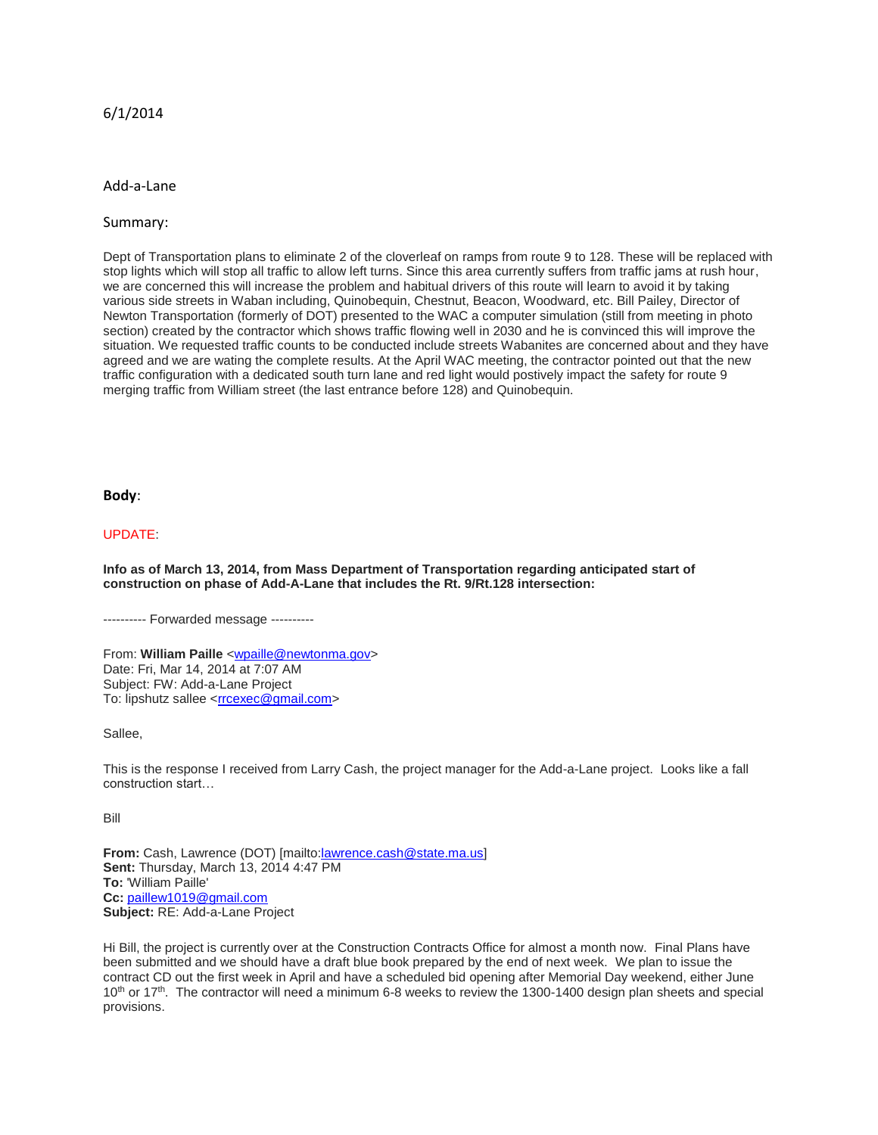# 6/1/2014

### Add-a-Lane

## Summary:

Dept of Transportation plans to eliminate 2 of the cloverleaf on ramps from route 9 to 128. These will be replaced with stop lights which will stop all traffic to allow left turns. Since this area currently suffers from traffic jams at rush hour, we are concerned this will increase the problem and habitual drivers of this route will learn to avoid it by taking various side streets in Waban including, Quinobequin, Chestnut, Beacon, Woodward, etc. Bill Pailey, Director of Newton Transportation (formerly of DOT) presented to the WAC a computer simulation (still from meeting in photo section) created by the contractor which shows traffic flowing well in 2030 and he is convinced this will improve the situation. We requested traffic counts to be conducted include streets Wabanites are concerned about and they have agreed and we are wating the complete results. At the April WAC meeting, the contractor pointed out that the new traffic configuration with a dedicated south turn lane and red light would postively impact the safety for route 9 merging traffic from William street (the last entrance before 128) and Quinobequin.

## **Body**:

### UPDATE:

**Info as of March 13, 2014, from Mass Department of Transportation regarding anticipated start of construction on phase of Add-A-Lane that includes the Rt. 9/Rt.128 intersection:**

---------- Forwarded message ----------

From: **William Paille** [<wpaille@newtonma.gov>](mailto:wpaille@newtonma.gov) Date: Fri, Mar 14, 2014 at 7:07 AM Subject: FW: Add-a-Lane Project To: lipshutz sallee [<rrcexec@gmail.com>](mailto:rrcexec@gmail.com)

Sallee,

This is the response I received from Larry Cash, the project manager for the Add-a-Lane project. Looks like a fall construction start…

Bill

**From:** Cash, Lawrence (DOT) [mailto[:lawrence.cash@state.ma.us\]](mailto:lawrence.cash@state.ma.us) **Sent:** Thursday, March 13, 2014 4:47 PM **To:** 'William Paille' **Cc:** [paillew1019@gmail.com](mailto:paillew1019@gmail.com) **Subject:** RE: Add-a-Lane Project

Hi Bill, the project is currently over at the Construction Contracts Office for almost a month now. Final Plans have been submitted and we should have a draft blue book prepared by the end of next week. We plan to issue the contract CD out the first week in April and have a scheduled bid opening after Memorial Day weekend, either June 10<sup>th</sup> or 17<sup>th</sup>. The contractor will need a minimum 6-8 weeks to review the 1300-1400 design plan sheets and special provisions.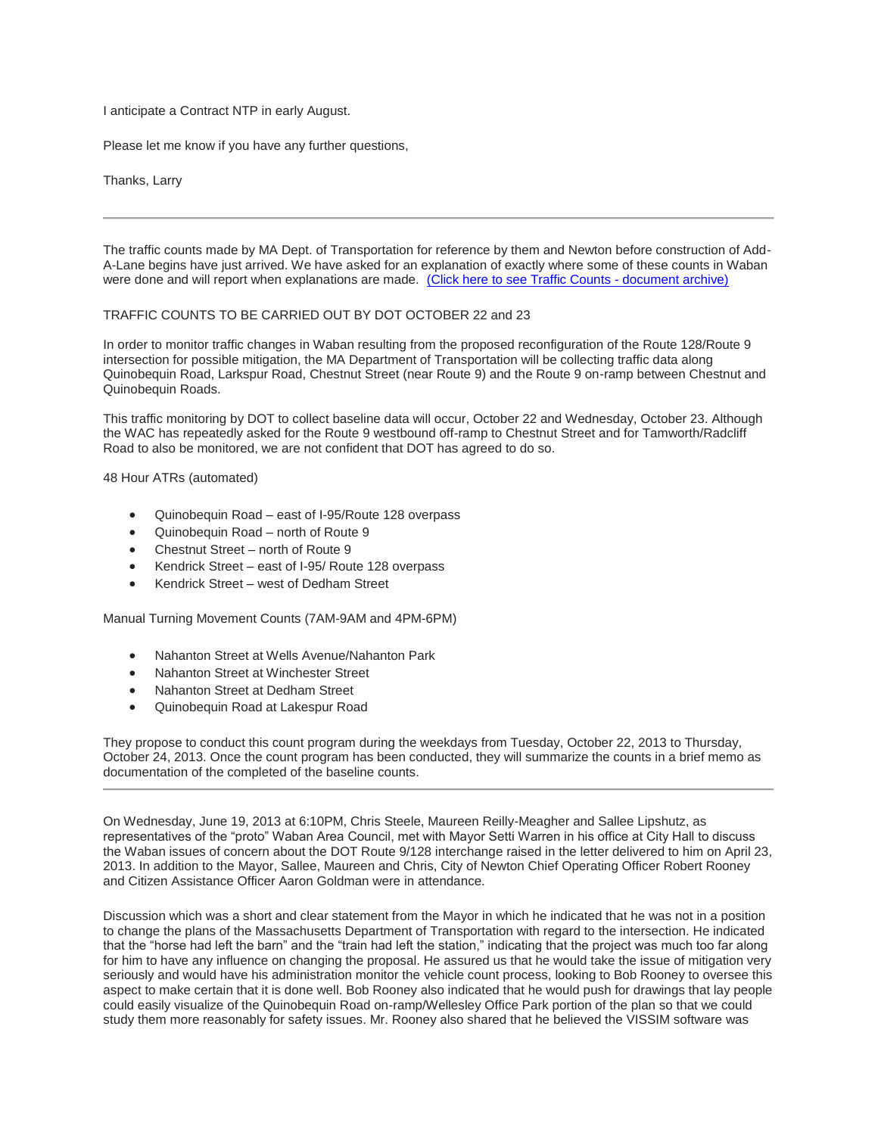## I anticipate a Contract NTP in early August.

Please let me know if you have any further questions,

Thanks, Larry

The traffic counts made by MA Dept. of Transportation for reference by them and Newton before construction of Add-A-Lane begins have just arrived. We have asked for an explanation of exactly where some of these counts in Waban were done and will report when explanations are made. [\(Click here to see Traffic Counts -](http://www.wabanareacouncil.com/sites/default/files/Leavenworth_MassDOT_Route%20128%20Baseline%20Traffic%20Counts_2013-11-26.pdf) document archive)

## TRAFFIC COUNTS TO BE CARRIED OUT BY DOT OCTOBER 22 and 23

In order to monitor traffic changes in Waban resulting from the proposed reconfiguration of the Route 128/Route 9 intersection for possible mitigation, the MA Department of Transportation will be collecting traffic data along Quinobequin Road, Larkspur Road, Chestnut Street (near Route 9) and the Route 9 on-ramp between Chestnut and Quinobequin Roads.

This traffic monitoring by DOT to collect baseline data will occur, October 22 and Wednesday, October 23. Although the WAC has repeatedly asked for the Route 9 westbound off-ramp to Chestnut Street and for Tamworth/Radcliff Road to also be monitored, we are not confident that DOT has agreed to do so.

48 Hour ATRs (automated)

- Quinobequin Road east of I-95/Route 128 overpass
- Quinobequin Road north of Route 9
- Chestnut Street north of Route 9
- Kendrick Street east of I-95/ Route 128 overpass
- Kendrick Street west of Dedham Street

Manual Turning Movement Counts (7AM-9AM and 4PM-6PM)

- Nahanton Street at Wells Avenue/Nahanton Park
- Nahanton Street at Winchester Street
- Nahanton Street at Dedham Street
- Quinobequin Road at Lakespur Road

They propose to conduct this count program during the weekdays from Tuesday, October 22, 2013 to Thursday, October 24, 2013. Once the count program has been conducted, they will summarize the counts in a brief memo as documentation of the completed of the baseline counts.

On Wednesday, June 19, 2013 at 6:10PM, Chris Steele, Maureen Reilly-Meagher and Sallee Lipshutz, as representatives of the "proto" Waban Area Council, met with Mayor Setti Warren in his office at City Hall to discuss the Waban issues of concern about the DOT Route 9/128 interchange raised in the letter delivered to him on April 23, 2013. In addition to the Mayor, Sallee, Maureen and Chris, City of Newton Chief Operating Officer Robert Rooney and Citizen Assistance Officer Aaron Goldman were in attendance.

Discussion which was a short and clear statement from the Mayor in which he indicated that he was not in a position to change the plans of the Massachusetts Department of Transportation with regard to the intersection. He indicated that the "horse had left the barn" and the "train had left the station," indicating that the project was much too far along for him to have any influence on changing the proposal. He assured us that he would take the issue of mitigation very seriously and would have his administration monitor the vehicle count process, looking to Bob Rooney to oversee this aspect to make certain that it is done well. Bob Rooney also indicated that he would push for drawings that lay people could easily visualize of the Quinobequin Road on-ramp/Wellesley Office Park portion of the plan so that we could study them more reasonably for safety issues. Mr. Rooney also shared that he believed the VISSIM software was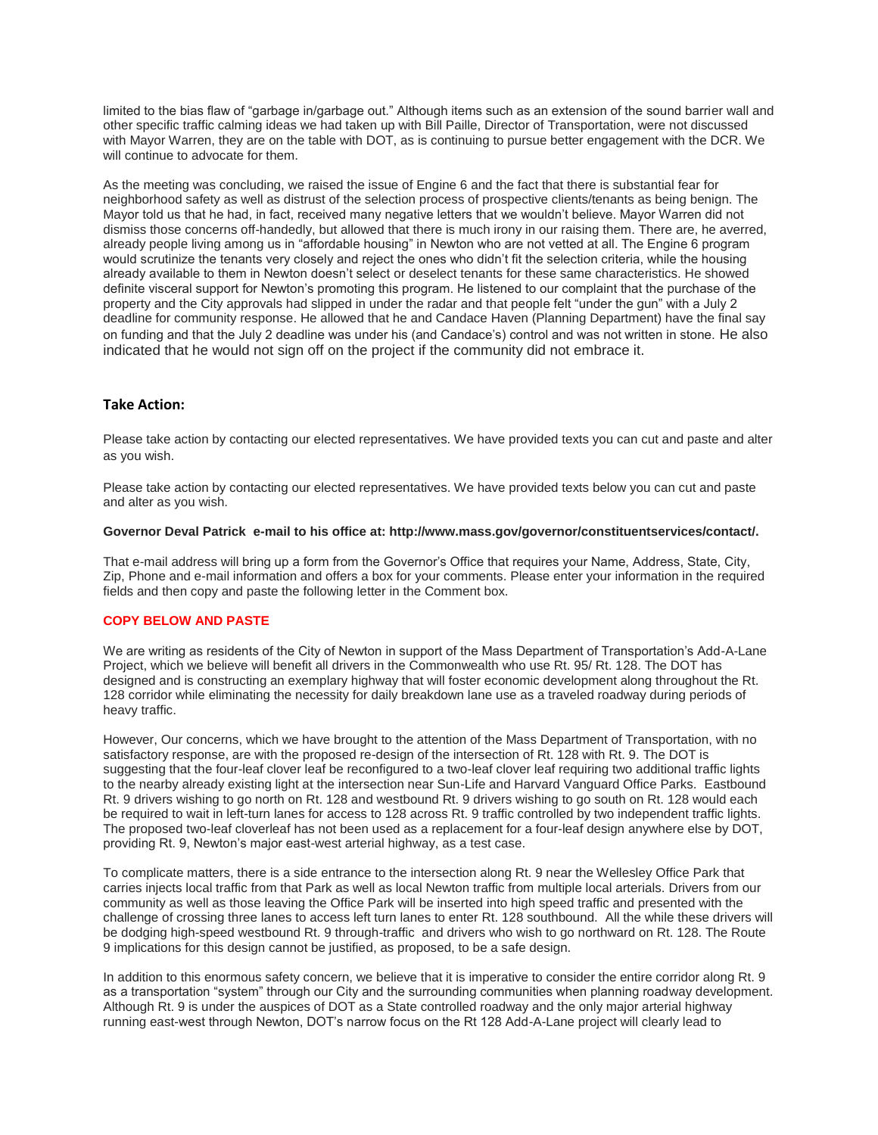limited to the bias flaw of "garbage in/garbage out." Although items such as an extension of the sound barrier wall and other specific traffic calming ideas we had taken up with Bill Paille, Director of Transportation, were not discussed with Mayor Warren, they are on the table with DOT, as is continuing to pursue better engagement with the DCR. We will continue to advocate for them.

As the meeting was concluding, we raised the issue of Engine 6 and the fact that there is substantial fear for neighborhood safety as well as distrust of the selection process of prospective clients/tenants as being benign. The Mayor told us that he had, in fact, received many negative letters that we wouldn't believe. Mayor Warren did not dismiss those concerns off-handedly, but allowed that there is much irony in our raising them. There are, he averred, already people living among us in "affordable housing" in Newton who are not vetted at all. The Engine 6 program would scrutinize the tenants very closely and reject the ones who didn't fit the selection criteria, while the housing already available to them in Newton doesn't select or deselect tenants for these same characteristics. He showed definite visceral support for Newton's promoting this program. He listened to our complaint that the purchase of the property and the City approvals had slipped in under the radar and that people felt "under the gun" with a July 2 deadline for community response. He allowed that he and Candace Haven (Planning Department) have the final say on funding and that the July 2 deadline was under his (and Candace's) control and was not written in stone. He also indicated that he would not sign off on the project if the community did not embrace it.

# **Take Action:**

Please take action by contacting our elected representatives. We have provided texts you can cut and paste and alter as you wish.

Please take action by contacting our elected representatives. We have provided texts below you can cut and paste and alter as you wish.

### **Governor Deval Patrick e-mail to his office at: http://www.mass.gov/governor/constituentservices/contact/.**

That e-mail address will bring up a form from the Governor's Office that requires your Name, Address, State, City, Zip, Phone and e-mail information and offers a box for your comments. Please enter your information in the required fields and then copy and paste the following letter in the Comment box.

## **COPY BELOW AND PASTE**

We are writing as residents of the City of Newton in support of the Mass Department of Transportation's Add-A-Lane Project, which we believe will benefit all drivers in the Commonwealth who use Rt. 95/ Rt. 128. The DOT has designed and is constructing an exemplary highway that will foster economic development along throughout the Rt. 128 corridor while eliminating the necessity for daily breakdown lane use as a traveled roadway during periods of heavy traffic.

However, Our concerns, which we have brought to the attention of the Mass Department of Transportation, with no satisfactory response, are with the proposed re-design of the intersection of Rt. 128 with Rt. 9. The DOT is suggesting that the four-leaf clover leaf be reconfigured to a two-leaf clover leaf requiring two additional traffic lights to the nearby already existing light at the intersection near Sun-Life and Harvard Vanguard Office Parks. Eastbound Rt. 9 drivers wishing to go north on Rt. 128 and westbound Rt. 9 drivers wishing to go south on Rt. 128 would each be required to wait in left-turn lanes for access to 128 across Rt. 9 traffic controlled by two independent traffic lights. The proposed two-leaf cloverleaf has not been used as a replacement for a four-leaf design anywhere else by DOT, providing Rt. 9, Newton's major east-west arterial highway, as a test case.

To complicate matters, there is a side entrance to the intersection along Rt. 9 near the Wellesley Office Park that carries injects local traffic from that Park as well as local Newton traffic from multiple local arterials. Drivers from our community as well as those leaving the Office Park will be inserted into high speed traffic and presented with the challenge of crossing three lanes to access left turn lanes to enter Rt. 128 southbound. All the while these drivers will be dodging high-speed westbound Rt. 9 through-traffic and drivers who wish to go northward on Rt. 128. The Route 9 implications for this design cannot be justified, as proposed, to be a safe design.

In addition to this enormous safety concern, we believe that it is imperative to consider the entire corridor along Rt. 9 as a transportation "system" through our City and the surrounding communities when planning roadway development. Although Rt. 9 is under the auspices of DOT as a State controlled roadway and the only major arterial highway running east-west through Newton, DOT's narrow focus on the Rt 128 Add-A-Lane project will clearly lead to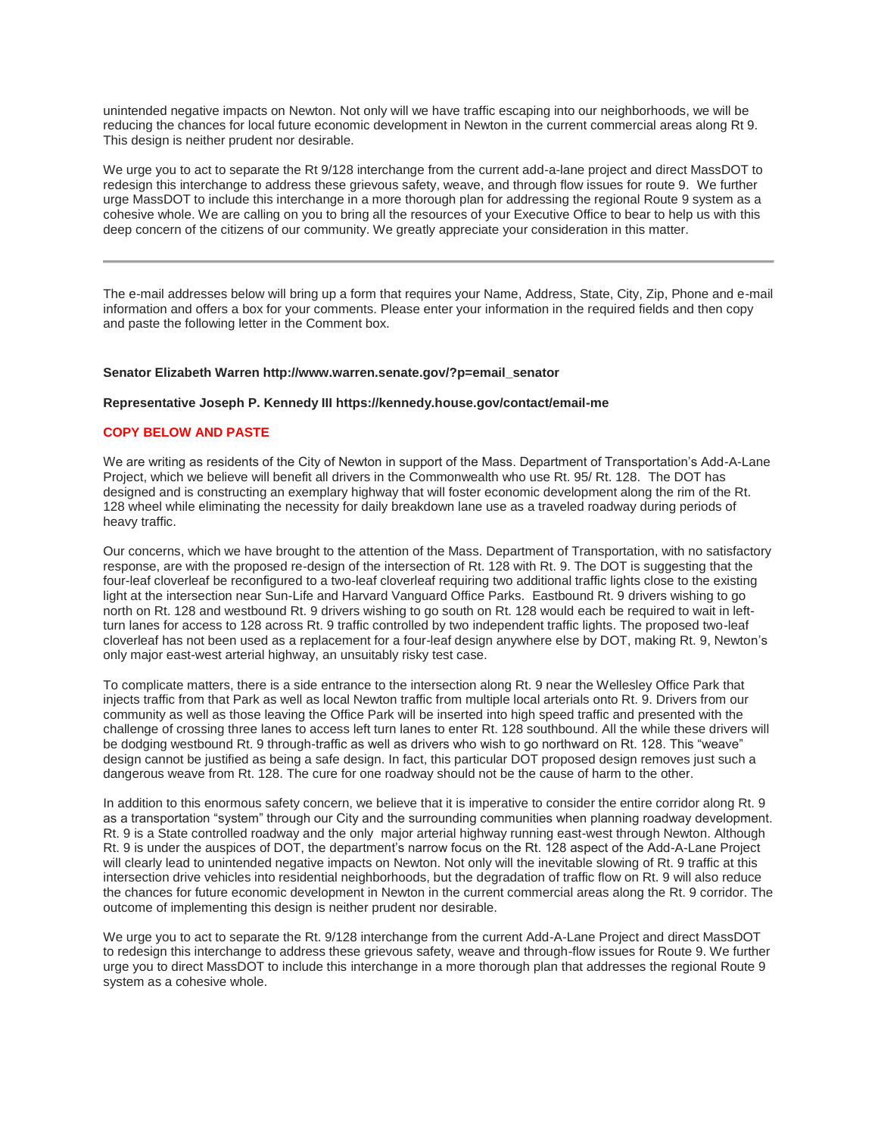unintended negative impacts on Newton. Not only will we have traffic escaping into our neighborhoods, we will be reducing the chances for local future economic development in Newton in the current commercial areas along Rt 9. This design is neither prudent nor desirable.

We urge you to act to separate the Rt 9/128 interchange from the current add-a-lane project and direct MassDOT to redesign this interchange to address these grievous safety, weave, and through flow issues for route 9. We further urge MassDOT to include this interchange in a more thorough plan for addressing the regional Route 9 system as a cohesive whole. We are calling on you to bring all the resources of your Executive Office to bear to help us with this deep concern of the citizens of our community. We greatly appreciate your consideration in this matter.

The e-mail addresses below will bring up a form that requires your Name, Address, State, City, Zip, Phone and e-mail information and offers a box for your comments. Please enter your information in the required fields and then copy and paste the following letter in the Comment box.

### **Senator Elizabeth Warren http://www.warren.senate.gov/?p=email\_senator**

### **Representative Joseph P. Kennedy III https://kennedy.house.gov/contact/email-me**

### **COPY BELOW AND PASTE**

We are writing as residents of the City of Newton in support of the Mass. Department of Transportation's Add-A-Lane Project, which we believe will benefit all drivers in the Commonwealth who use Rt. 95/ Rt. 128. The DOT has designed and is constructing an exemplary highway that will foster economic development along the rim of the Rt. 128 wheel while eliminating the necessity for daily breakdown lane use as a traveled roadway during periods of heavy traffic.

Our concerns, which we have brought to the attention of the Mass. Department of Transportation, with no satisfactory response, are with the proposed re-design of the intersection of Rt. 128 with Rt. 9. The DOT is suggesting that the four-leaf cloverleaf be reconfigured to a two-leaf cloverleaf requiring two additional traffic lights close to the existing light at the intersection near Sun-Life and Harvard Vanguard Office Parks. Eastbound Rt. 9 drivers wishing to go north on Rt. 128 and westbound Rt. 9 drivers wishing to go south on Rt. 128 would each be required to wait in leftturn lanes for access to 128 across Rt. 9 traffic controlled by two independent traffic lights. The proposed two-leaf cloverleaf has not been used as a replacement for a four-leaf design anywhere else by DOT, making Rt. 9, Newton's only major east-west arterial highway, an unsuitably risky test case.

To complicate matters, there is a side entrance to the intersection along Rt. 9 near the Wellesley Office Park that injects traffic from that Park as well as local Newton traffic from multiple local arterials onto Rt. 9. Drivers from our community as well as those leaving the Office Park will be inserted into high speed traffic and presented with the challenge of crossing three lanes to access left turn lanes to enter Rt. 128 southbound. All the while these drivers will be dodging westbound Rt. 9 through-traffic as well as drivers who wish to go northward on Rt. 128. This "weave" design cannot be justified as being a safe design. In fact, this particular DOT proposed design removes just such a dangerous weave from Rt. 128. The cure for one roadway should not be the cause of harm to the other.

In addition to this enormous safety concern, we believe that it is imperative to consider the entire corridor along Rt. 9 as a transportation "system" through our City and the surrounding communities when planning roadway development. Rt. 9 is a State controlled roadway and the only major arterial highway running east-west through Newton. Although Rt. 9 is under the auspices of DOT, the department's narrow focus on the Rt. 128 aspect of the Add-A-Lane Project will clearly lead to unintended negative impacts on Newton. Not only will the inevitable slowing of Rt. 9 traffic at this intersection drive vehicles into residential neighborhoods, but the degradation of traffic flow on Rt. 9 will also reduce the chances for future economic development in Newton in the current commercial areas along the Rt. 9 corridor. The outcome of implementing this design is neither prudent nor desirable.

We urge you to act to separate the Rt. 9/128 interchange from the current Add-A-Lane Project and direct MassDOT to redesign this interchange to address these grievous safety, weave and through-flow issues for Route 9. We further urge you to direct MassDOT to include this interchange in a more thorough plan that addresses the regional Route 9 system as a cohesive whole.